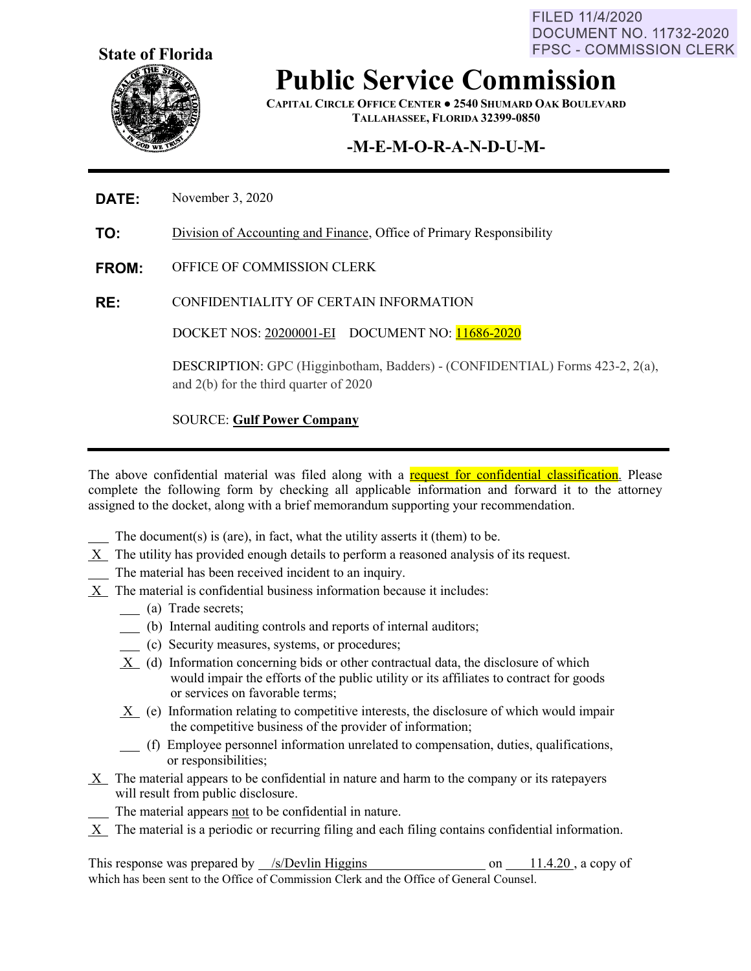FILED 11/4/2020 **DOCUMENT NO. 11732-2020 FPSC - COMMISSION CLERK** 



# **Public Service Commission**

**CAPITAL CIRCLE OFFICE CENTER ● 2540 SHUMARD OAK BOULEVARD TALLAHASSEE, FLORIDA 32399-0850**

# **-M-E-M-O-R-A-N-D-U-M-**

#### **DATE:** November 3, 2020

**TO:** Division of Accounting and Finance, Office of Primary Responsibility

**FROM:** OFFICE OF COMMISSION CLERK

**RE:** CONFIDENTIALITY OF CERTAIN INFORMATION

DOCKET NOS: 20200001-EI DOCUMENT NO: 11686-2020

DESCRIPTION: GPC (Higginbotham, Badders) - (CONFIDENTIAL) Forms 423-2, 2(a), and 2(b) for the third quarter of 2020

#### SOURCE: **Gulf Power Company**

The above confidential material was filed along with a request for confidential classification. Please complete the following form by checking all applicable information and forward it to the attorney assigned to the docket, along with a brief memorandum supporting your recommendation.

- The document(s) is (are), in fact, what the utility asserts it (them) to be.
- X The utility has provided enough details to perform a reasoned analysis of its request.
- The material has been received incident to an inquiry.
- X The material is confidential business information because it includes:
	- (a) Trade secrets;
	- (b) Internal auditing controls and reports of internal auditors;
	- (c) Security measures, systems, or procedures;
	- X (d) Information concerning bids or other contractual data, the disclosure of which would impair the efforts of the public utility or its affiliates to contract for goods or services on favorable terms;
	- X (e) Information relating to competitive interests, the disclosure of which would impair the competitive business of the provider of information;
	- (f) Employee personnel information unrelated to compensation, duties, qualifications, or responsibilities;
- X The material appears to be confidential in nature and harm to the company or its ratepayers will result from public disclosure.
	- The material appears not to be confidential in nature.
- $X$  The material is a periodic or recurring filing and each filing contains confidential information.

This response was prepared by  $\frac{\sqrt{s}}{\text{Devlin Higgs}}$  on  $\frac{11.4.20}{\text{Covlin Higgs}}$ , a copy of which has been sent to the Office of Commission Clerk and the Office of General Counsel.